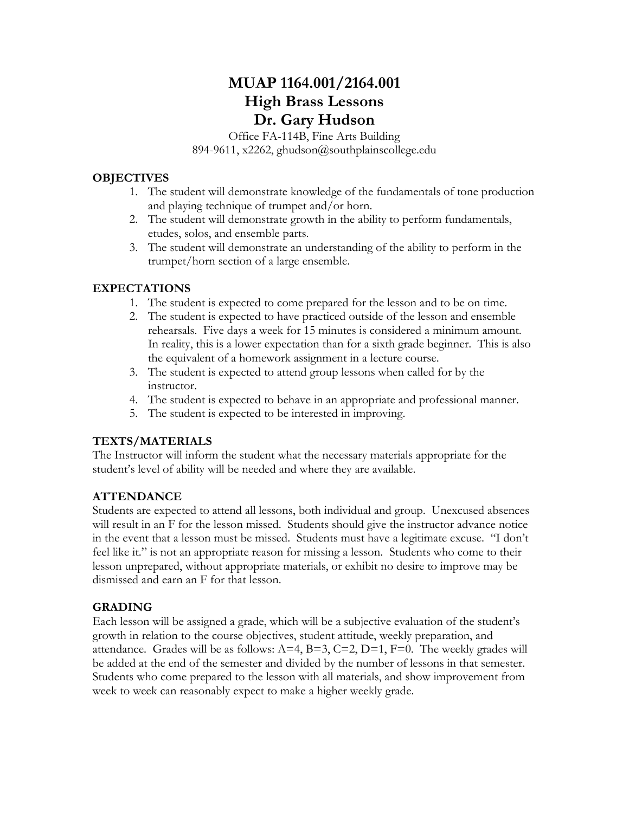# **MUAP 1164.001/2164.001 High Brass Lessons Dr. Gary Hudson**

Office FA-114B, Fine Arts Building 894-9611, x2262, ghudson@southplainscollege.edu

### **OBJECTIVES**

- 1. The student will demonstrate knowledge of the fundamentals of tone production and playing technique of trumpet and/or horn.
- 2. The student will demonstrate growth in the ability to perform fundamentals, etudes, solos, and ensemble parts.
- 3. The student will demonstrate an understanding of the ability to perform in the trumpet/horn section of a large ensemble.

## **EXPECTATIONS**

- 1. The student is expected to come prepared for the lesson and to be on time.
- 2. The student is expected to have practiced outside of the lesson and ensemble rehearsals. Five days a week for 15 minutes is considered a minimum amount. In reality, this is a lower expectation than for a sixth grade beginner. This is also the equivalent of a homework assignment in a lecture course.
- 3. The student is expected to attend group lessons when called for by the instructor.
- 4. The student is expected to behave in an appropriate and professional manner.
- 5. The student is expected to be interested in improving.

### **TEXTS/MATERIALS**

The Instructor will inform the student what the necessary materials appropriate for the student's level of ability will be needed and where they are available.

### **ATTENDANCE**

Students are expected to attend all lessons, both individual and group. Unexcused absences will result in an F for the lesson missed. Students should give the instructor advance notice in the event that a lesson must be missed. Students must have a legitimate excuse. "I don't feel like it." is not an appropriate reason for missing a lesson. Students who come to their lesson unprepared, without appropriate materials, or exhibit no desire to improve may be dismissed and earn an F for that lesson.

## **GRADING**

Each lesson will be assigned a grade, which will be a subjective evaluation of the student's growth in relation to the course objectives, student attitude, weekly preparation, and attendance. Grades will be as follows:  $A=4$ ,  $B=3$ ,  $C=2$ ,  $D=1$ ,  $F=0$ . The weekly grades will be added at the end of the semester and divided by the number of lessons in that semester. Students who come prepared to the lesson with all materials, and show improvement from week to week can reasonably expect to make a higher weekly grade.